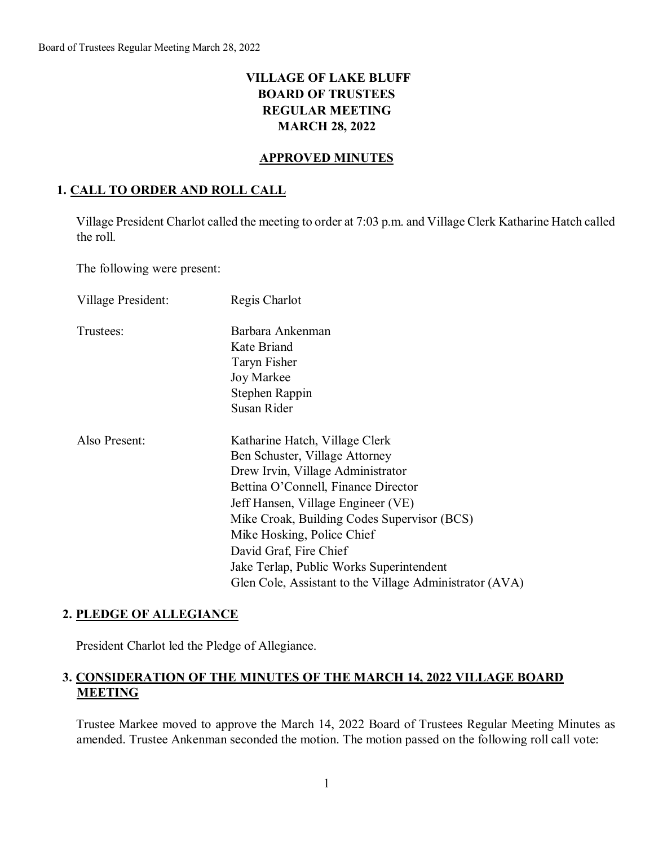# **VILLAGE OF LAKE BLUFF BOARD OF TRUSTEES REGULAR MEETING MARCH 28, 2022**

### **APPROVED MINUTES**

#### **1. CALL TO ORDER AND ROLL CALL**

Village President Charlot called the meeting to order at 7:03 p.m. and Village Clerk Katharine Hatch called the roll.

The following were present:

| Village President: | Regis Charlot                                           |
|--------------------|---------------------------------------------------------|
| Trustees:          | Barbara Ankenman                                        |
|                    | Kate Briand                                             |
|                    | Taryn Fisher                                            |
|                    | Joy Markee                                              |
|                    | Stephen Rappin                                          |
|                    | Susan Rider                                             |
| Also Present:      | Katharine Hatch, Village Clerk                          |
|                    | Ben Schuster, Village Attorney                          |
|                    | Drew Irvin, Village Administrator                       |
|                    | Bettina O'Connell, Finance Director                     |
|                    | Jeff Hansen, Village Engineer (VE)                      |
|                    | Mike Croak, Building Codes Supervisor (BCS)             |
|                    | Mike Hosking, Police Chief                              |
|                    | David Graf, Fire Chief                                  |
|                    | Jake Terlap, Public Works Superintendent                |
|                    | Glen Cole, Assistant to the Village Administrator (AVA) |

### **2. PLEDGE OF ALLEGIANCE**

President Charlot led the Pledge of Allegiance.

### **3. CONSIDERATION OF THE MINUTES OF THE MARCH 14, 2022 VILLAGE BOARD MEETING**

Trustee Markee moved to approve the March 14, 2022 Board of Trustees Regular Meeting Minutes as amended. Trustee Ankenman seconded the motion. The motion passed on the following roll call vote: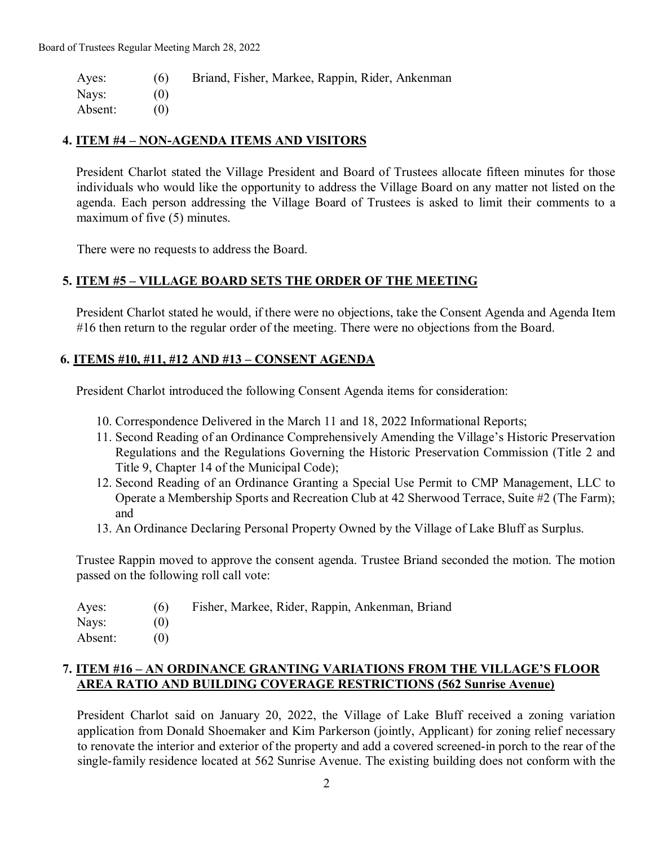Ayes: (6) Briand, Fisher, Markee, Rappin, Rider, Ankenman Nays: (0) Absent: (0)

#### **4. ITEM #4 – NON-AGENDA ITEMS AND VISITORS**

President Charlot stated the Village President and Board of Trustees allocate fifteen minutes for those individuals who would like the opportunity to address the Village Board on any matter not listed on the agenda. Each person addressing the Village Board of Trustees is asked to limit their comments to a maximum of five (5) minutes.

There were no requests to address the Board.

#### **5. ITEM #5 – VILLAGE BOARD SETS THE ORDER OF THE MEETING**

President Charlot stated he would, if there were no objections, take the Consent Agenda and Agenda Item #16 then return to the regular order of the meeting. There were no objections from the Board.

#### **6. ITEMS #10, #11, #12 AND #13 – CONSENT AGENDA**

President Charlot introduced the following Consent Agenda items for consideration:

- 10. Correspondence Delivered in the March 11 and 18, 2022 Informational Reports;
- 11. Second Reading of an Ordinance Comprehensively Amending the Village's Historic Preservation Regulations and the Regulations Governing the Historic Preservation Commission (Title 2 and Title 9, Chapter 14 of the Municipal Code);
- 12. Second Reading of an Ordinance Granting a Special Use Permit to CMP Management, LLC to Operate a Membership Sports and Recreation Club at 42 Sherwood Terrace, Suite #2 (The Farm); and
- 13. An Ordinance Declaring Personal Property Owned by the Village of Lake Bluff as Surplus.

Trustee Rappin moved to approve the consent agenda. Trustee Briand seconded the motion. The motion passed on the following roll call vote:

Ayes: (6) Fisher, Markee, Rider, Rappin, Ankenman, Briand

Absent: (0)

### **7. ITEM #16 – AN ORDINANCE GRANTING VARIATIONS FROM THE VILLAGE'S FLOOR AREA RATIO AND BUILDING COVERAGE RESTRICTIONS (562 Sunrise Avenue)**

President Charlot said on January 20, 2022, the Village of Lake Bluff received a zoning variation application from Donald Shoemaker and Kim Parkerson (jointly, Applicant) for zoning relief necessary to renovate the interior and exterior of the property and add a covered screened-in porch to the rear of the single-family residence located at 562 Sunrise Avenue. The existing building does not conform with the

Nays: (0)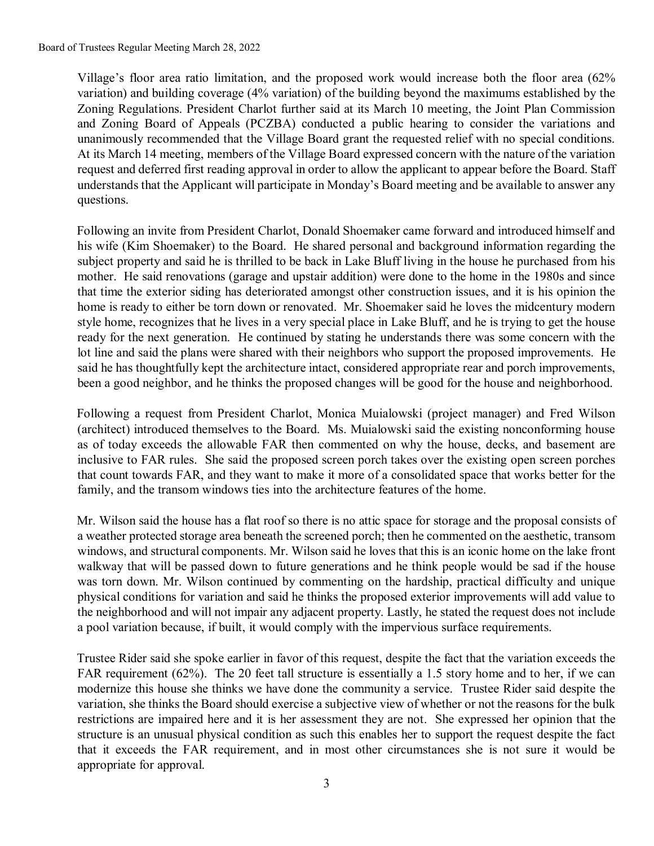Village's floor area ratio limitation, and the proposed work would increase both the floor area (62% variation) and building coverage (4% variation) of the building beyond the maximums established by the Zoning Regulations. President Charlot further said at its March 10 meeting, the Joint Plan Commission and Zoning Board of Appeals (PCZBA) conducted a public hearing to consider the variations and unanimously recommended that the Village Board grant the requested relief with no special conditions. At its March 14 meeting, members of the Village Board expressed concern with the nature of the variation request and deferred first reading approval in order to allow the applicant to appear before the Board. Staff understands that the Applicant will participate in Monday's Board meeting and be available to answer any questions.

Following an invite from President Charlot, Donald Shoemaker came forward and introduced himself and his wife (Kim Shoemaker) to the Board. He shared personal and background information regarding the subject property and said he is thrilled to be back in Lake Bluff living in the house he purchased from his mother. He said renovations (garage and upstair addition) were done to the home in the 1980s and since that time the exterior siding has deteriorated amongst other construction issues, and it is his opinion the home is ready to either be torn down or renovated. Mr. Shoemaker said he loves the midcentury modern style home, recognizes that he lives in a very special place in Lake Bluff, and he is trying to get the house ready for the next generation. He continued by stating he understands there was some concern with the lot line and said the plans were shared with their neighbors who support the proposed improvements. He said he has thoughtfully kept the architecture intact, considered appropriate rear and porch improvements, been a good neighbor, and he thinks the proposed changes will be good for the house and neighborhood.

Following a request from President Charlot, Monica Muialowski (project manager) and Fred Wilson (architect) introduced themselves to the Board. Ms. Muialowski said the existing nonconforming house as of today exceeds the allowable FAR then commented on why the house, decks, and basement are inclusive to FAR rules. She said the proposed screen porch takes over the existing open screen porches that count towards FAR, and they want to make it more of a consolidated space that works better for the family, and the transom windows ties into the architecture features of the home.

Mr. Wilson said the house has a flat roof so there is no attic space for storage and the proposal consists of a weather protected storage area beneath the screened porch; then he commented on the aesthetic, transom windows, and structural components. Mr. Wilson said he loves that this is an iconic home on the lake front walkway that will be passed down to future generations and he think people would be sad if the house was torn down. Mr. Wilson continued by commenting on the hardship, practical difficulty and unique physical conditions for variation and said he thinks the proposed exterior improvements will add value to the neighborhood and will not impair any adjacent property. Lastly, he stated the request does not include a pool variation because, if built, it would comply with the impervious surface requirements.

Trustee Rider said she spoke earlier in favor of this request, despite the fact that the variation exceeds the FAR requirement (62%). The 20 feet tall structure is essentially a 1.5 story home and to her, if we can modernize this house she thinks we have done the community a service. Trustee Rider said despite the variation, she thinks the Board should exercise a subjective view of whether or not the reasons for the bulk restrictions are impaired here and it is her assessment they are not. She expressed her opinion that the structure is an unusual physical condition as such this enables her to support the request despite the fact that it exceeds the FAR requirement, and in most other circumstances she is not sure it would be appropriate for approval.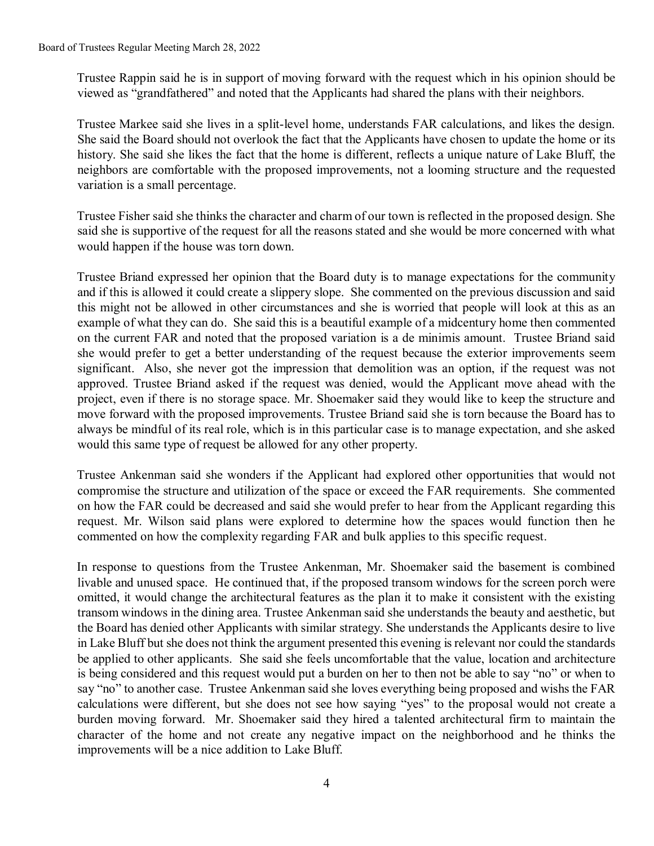Trustee Rappin said he is in support of moving forward with the request which in his opinion should be viewed as "grandfathered" and noted that the Applicants had shared the plans with their neighbors.

Trustee Markee said she lives in a split-level home, understands FAR calculations, and likes the design. She said the Board should not overlook the fact that the Applicants have chosen to update the home or its history. She said she likes the fact that the home is different, reflects a unique nature of Lake Bluff, the neighbors are comfortable with the proposed improvements, not a looming structure and the requested variation is a small percentage.

Trustee Fisher said she thinks the character and charm of our town is reflected in the proposed design. She said she is supportive of the request for all the reasons stated and she would be more concerned with what would happen if the house was torn down.

Trustee Briand expressed her opinion that the Board duty is to manage expectations for the community and if this is allowed it could create a slippery slope. She commented on the previous discussion and said this might not be allowed in other circumstances and she is worried that people will look at this as an example of what they can do. She said this is a beautiful example of a midcentury home then commented on the current FAR and noted that the proposed variation is a de minimis amount. Trustee Briand said she would prefer to get a better understanding of the request because the exterior improvements seem significant. Also, she never got the impression that demolition was an option, if the request was not approved. Trustee Briand asked if the request was denied, would the Applicant move ahead with the project, even if there is no storage space. Mr. Shoemaker said they would like to keep the structure and move forward with the proposed improvements. Trustee Briand said she is torn because the Board has to always be mindful of its real role, which is in this particular case is to manage expectation, and she asked would this same type of request be allowed for any other property.

Trustee Ankenman said she wonders if the Applicant had explored other opportunities that would not compromise the structure and utilization of the space or exceed the FAR requirements. She commented on how the FAR could be decreased and said she would prefer to hear from the Applicant regarding this request. Mr. Wilson said plans were explored to determine how the spaces would function then he commented on how the complexity regarding FAR and bulk applies to this specific request.

In response to questions from the Trustee Ankenman, Mr. Shoemaker said the basement is combined livable and unused space. He continued that, if the proposed transom windows for the screen porch were omitted, it would change the architectural features as the plan it to make it consistent with the existing transom windows in the dining area. Trustee Ankenman said she understands the beauty and aesthetic, but the Board has denied other Applicants with similar strategy. She understands the Applicants desire to live in Lake Bluff but she does not think the argument presented this evening is relevant nor could the standards be applied to other applicants. She said she feels uncomfortable that the value, location and architecture is being considered and this request would put a burden on her to then not be able to say "no" or when to say "no" to another case. Trustee Ankenman said she loves everything being proposed and wishs the FAR calculations were different, but she does not see how saying "yes" to the proposal would not create a burden moving forward. Mr. Shoemaker said they hired a talented architectural firm to maintain the character of the home and not create any negative impact on the neighborhood and he thinks the improvements will be a nice addition to Lake Bluff.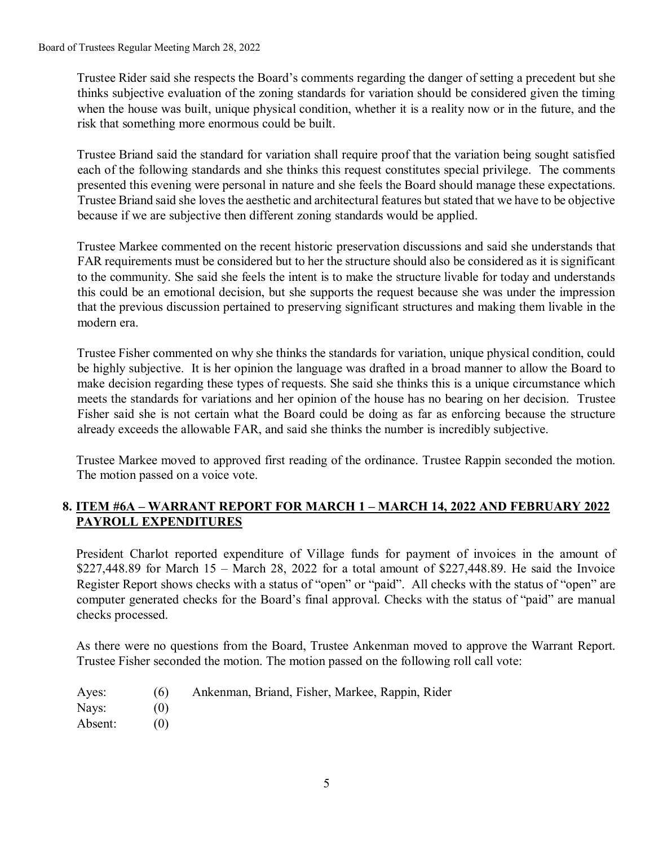Trustee Rider said she respects the Board's comments regarding the danger of setting a precedent but she thinks subjective evaluation of the zoning standards for variation should be considered given the timing when the house was built, unique physical condition, whether it is a reality now or in the future, and the risk that something more enormous could be built.

Trustee Briand said the standard for variation shall require proof that the variation being sought satisfied each of the following standards and she thinks this request constitutes special privilege. The comments presented this evening were personal in nature and she feels the Board should manage these expectations. Trustee Briand said she loves the aesthetic and architectural features but stated that we have to be objective because if we are subjective then different zoning standards would be applied.

Trustee Markee commented on the recent historic preservation discussions and said she understands that FAR requirements must be considered but to her the structure should also be considered as it is significant to the community. She said she feels the intent is to make the structure livable for today and understands this could be an emotional decision, but she supports the request because she was under the impression that the previous discussion pertained to preserving significant structures and making them livable in the modern era.

Trustee Fisher commented on why she thinks the standards for variation, unique physical condition, could be highly subjective. It is her opinion the language was drafted in a broad manner to allow the Board to make decision regarding these types of requests. She said she thinks this is a unique circumstance which meets the standards for variations and her opinion of the house has no bearing on her decision. Trustee Fisher said she is not certain what the Board could be doing as far as enforcing because the structure already exceeds the allowable FAR, and said she thinks the number is incredibly subjective.

Trustee Markee moved to approved first reading of the ordinance. Trustee Rappin seconded the motion. The motion passed on a voice vote.

## **8. ITEM #6A – WARRANT REPORT FOR MARCH 1 – MARCH 14, 2022 AND FEBRUARY 2022 PAYROLL EXPENDITURES**

President Charlot reported expenditure of Village funds for payment of invoices in the amount of \$227,448.89 for March 15 – March 28, 2022 for a total amount of \$227,448.89. He said the Invoice Register Report shows checks with a status of "open" or "paid". All checks with the status of "open" are computer generated checks for the Board's final approval. Checks with the status of "paid" are manual checks processed.

As there were no questions from the Board, Trustee Ankenman moved to approve the Warrant Report. Trustee Fisher seconded the motion. The motion passed on the following roll call vote:

| Ayes: | (6) |  | Ankenman, Briand, Fisher, Markee, Rappin, Rider |  |  |
|-------|-----|--|-------------------------------------------------|--|--|
|-------|-----|--|-------------------------------------------------|--|--|

- Nays: (0)
- Absent: (0)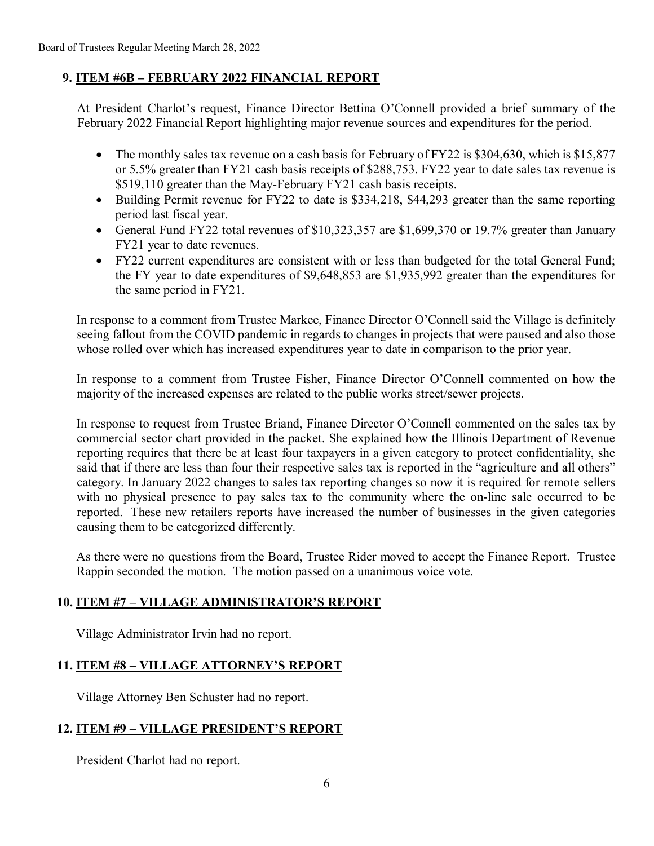### **9. ITEM #6B – FEBRUARY 2022 FINANCIAL REPORT**

At President Charlot's request, Finance Director Bettina O'Connell provided a brief summary of the February 2022 Financial Report highlighting major revenue sources and expenditures for the period.

- The monthly sales tax revenue on a cash basis for February of FY22 is \$304,630, which is \$15,877 or 5.5% greater than FY21 cash basis receipts of \$288,753. FY22 year to date sales tax revenue is \$519,110 greater than the May-February FY21 cash basis receipts.
- Building Permit revenue for FY22 to date is \$334,218, \$44,293 greater than the same reporting period last fiscal year.
- General Fund FY22 total revenues of \$10,323,357 are \$1,699,370 or 19.7% greater than January FY21 year to date revenues.
- FY22 current expenditures are consistent with or less than budgeted for the total General Fund; the FY year to date expenditures of \$9,648,853 are \$1,935,992 greater than the expenditures for the same period in FY21.

In response to a comment from Trustee Markee, Finance Director O'Connell said the Village is definitely seeing fallout from the COVID pandemic in regards to changes in projects that were paused and also those whose rolled over which has increased expenditures year to date in comparison to the prior year.

In response to a comment from Trustee Fisher, Finance Director O'Connell commented on how the majority of the increased expenses are related to the public works street/sewer projects.

In response to request from Trustee Briand, Finance Director O'Connell commented on the sales tax by commercial sector chart provided in the packet. She explained how the Illinois Department of Revenue reporting requires that there be at least four taxpayers in a given category to protect confidentiality, she said that if there are less than four their respective sales tax is reported in the "agriculture and all others" category. In January 2022 changes to sales tax reporting changes so now it is required for remote sellers with no physical presence to pay sales tax to the community where the on-line sale occurred to be reported. These new retailers reports have increased the number of businesses in the given categories causing them to be categorized differently.

As there were no questions from the Board, Trustee Rider moved to accept the Finance Report. Trustee Rappin seconded the motion. The motion passed on a unanimous voice vote.

### **10. ITEM #7 – VILLAGE ADMINISTRATOR'S REPORT**

Village Administrator Irvin had no report.

### **11. ITEM #8 – VILLAGE ATTORNEY'S REPORT**

Village Attorney Ben Schuster had no report.

### **12. ITEM #9 – VILLAGE PRESIDENT'S REPORT**

President Charlot had no report.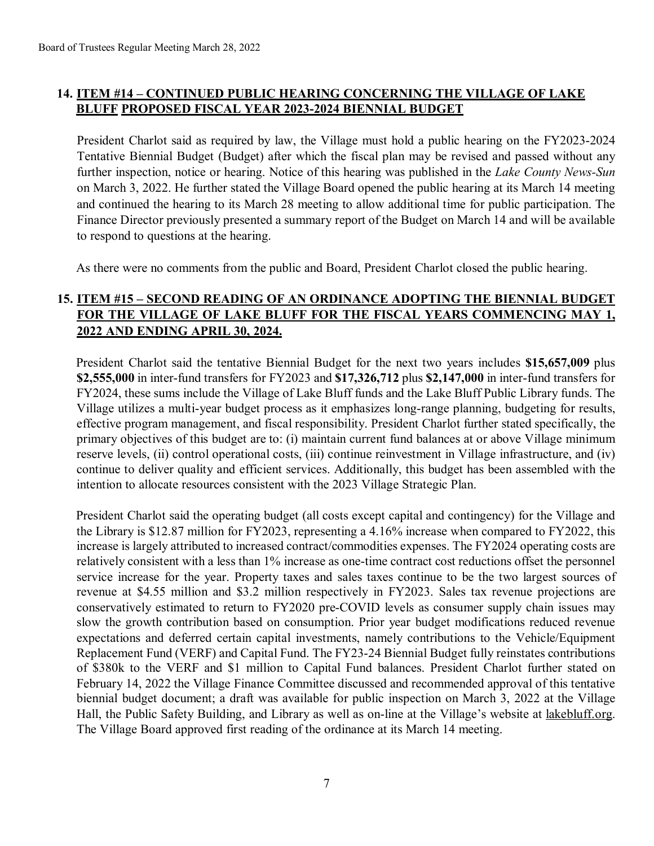# **14. ITEM #14 – CONTINUED PUBLIC HEARING CONCERNING THE VILLAGE OF LAKE BLUFF PROPOSED FISCAL YEAR 2023-2024 BIENNIAL BUDGET**

President Charlot said as required by law, the Village must hold a public hearing on the FY2023-2024 Tentative Biennial Budget (Budget) after which the fiscal plan may be revised and passed without any further inspection, notice or hearing. Notice of this hearing was published in the *Lake County News-Sun* on March 3, 2022. He further stated the Village Board opened the public hearing at its March 14 meeting and continued the hearing to its March 28 meeting to allow additional time for public participation. The Finance Director previously presented a summary report of the Budget on March 14 and will be available to respond to questions at the hearing.

As there were no comments from the public and Board, President Charlot closed the public hearing.

## **15. ITEM #15 – SECOND READING OF AN ORDINANCE ADOPTING THE BIENNIAL BUDGET FOR THE VILLAGE OF LAKE BLUFF FOR THE FISCAL YEARS COMMENCING MAY 1, 2022 AND ENDING APRIL 30, 2024.**

President Charlot said the tentative Biennial Budget for the next two years includes **\$15,657,009** plus **\$2,555,000** in inter-fund transfers for FY2023 and **\$17,326,712** plus **\$2,147,000** in inter-fund transfers for FY2024, these sums include the Village of Lake Bluff funds and the Lake Bluff Public Library funds. The Village utilizes a multi-year budget process as it emphasizes long-range planning, budgeting for results, effective program management, and fiscal responsibility. President Charlot further stated specifically, the primary objectives of this budget are to: (i) maintain current fund balances at or above Village minimum reserve levels, (ii) control operational costs, (iii) continue reinvestment in Village infrastructure, and (iv) continue to deliver quality and efficient services. Additionally, this budget has been assembled with the intention to allocate resources consistent with the 2023 Village Strategic Plan.

President Charlot said the operating budget (all costs except capital and contingency) for the Village and the Library is \$12.87 million for FY2023, representing a 4.16% increase when compared to FY2022, this increase is largely attributed to increased contract/commodities expenses. The FY2024 operating costs are relatively consistent with a less than 1% increase as one-time contract cost reductions offset the personnel service increase for the year. Property taxes and sales taxes continue to be the two largest sources of revenue at \$4.55 million and \$3.2 million respectively in FY2023. Sales tax revenue projections are conservatively estimated to return to FY2020 pre-COVID levels as consumer supply chain issues may slow the growth contribution based on consumption. Prior year budget modifications reduced revenue expectations and deferred certain capital investments, namely contributions to the Vehicle/Equipment Replacement Fund (VERF) and Capital Fund. The FY23-24 Biennial Budget fully reinstates contributions of \$380k to the VERF and \$1 million to Capital Fund balances. President Charlot further stated on February 14, 2022 the Village Finance Committee discussed and recommended approval of this tentative biennial budget document; a draft was available for public inspection on March 3, 2022 at the Village Hall, the Public Safety Building, and Library as well as on-line at the Village's website at lakebluff.org. The Village Board approved first reading of the ordinance at its March 14 meeting.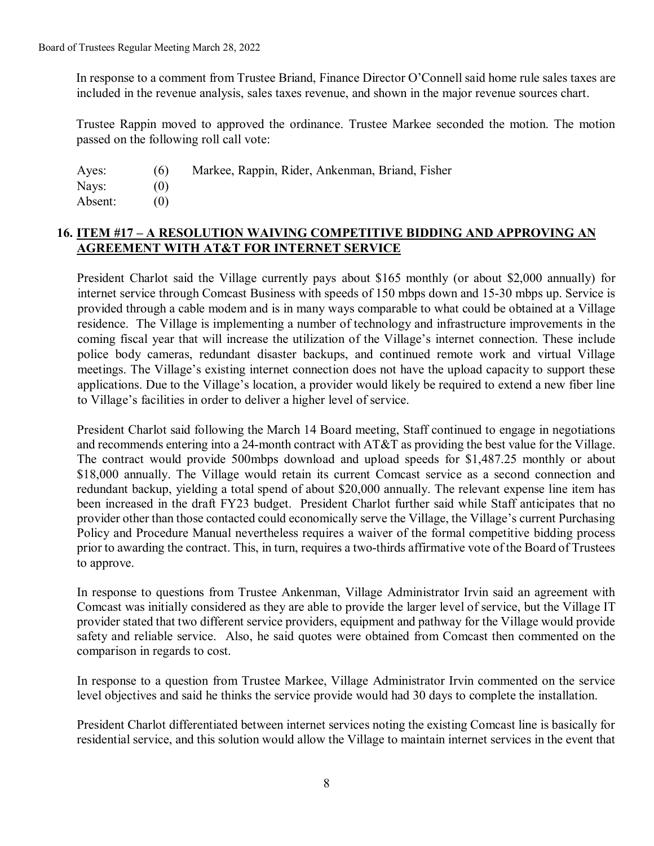In response to a comment from Trustee Briand, Finance Director O'Connell said home rule sales taxes are included in the revenue analysis, sales taxes revenue, and shown in the major revenue sources chart.

Trustee Rappin moved to approved the ordinance. Trustee Markee seconded the motion. The motion passed on the following roll call vote:

| Ayes:   | (6) | Markee, Rappin, Rider, Ankenman, Briand, Fisher |
|---------|-----|-------------------------------------------------|
| Nays:   |     |                                                 |
| Absent: |     |                                                 |

### **16. ITEM #17 – A RESOLUTION WAIVING COMPETITIVE BIDDING AND APPROVING AN AGREEMENT WITH AT&T FOR INTERNET SERVICE**

President Charlot said the Village currently pays about \$165 monthly (or about \$2,000 annually) for internet service through Comcast Business with speeds of 150 mbps down and 15-30 mbps up. Service is provided through a cable modem and is in many ways comparable to what could be obtained at a Village residence. The Village is implementing a number of technology and infrastructure improvements in the coming fiscal year that will increase the utilization of the Village's internet connection. These include police body cameras, redundant disaster backups, and continued remote work and virtual Village meetings. The Village's existing internet connection does not have the upload capacity to support these applications. Due to the Village's location, a provider would likely be required to extend a new fiber line to Village's facilities in order to deliver a higher level of service.

President Charlot said following the March 14 Board meeting, Staff continued to engage in negotiations and recommends entering into a 24-month contract with AT&T as providing the best value for the Village. The contract would provide 500mbps download and upload speeds for \$1,487.25 monthly or about \$18,000 annually. The Village would retain its current Comcast service as a second connection and redundant backup, yielding a total spend of about \$20,000 annually. The relevant expense line item has been increased in the draft FY23 budget. President Charlot further said while Staff anticipates that no provider other than those contacted could economically serve the Village, the Village's current Purchasing Policy and Procedure Manual nevertheless requires a waiver of the formal competitive bidding process prior to awarding the contract. This, in turn, requires a two-thirds affirmative vote of the Board of Trustees to approve.

In response to questions from Trustee Ankenman, Village Administrator Irvin said an agreement with Comcast was initially considered as they are able to provide the larger level of service, but the Village IT provider stated that two different service providers, equipment and pathway for the Village would provide safety and reliable service. Also, he said quotes were obtained from Comcast then commented on the comparison in regards to cost.

In response to a question from Trustee Markee, Village Administrator Irvin commented on the service level objectives and said he thinks the service provide would had 30 days to complete the installation.

President Charlot differentiated between internet services noting the existing Comcast line is basically for residential service, and this solution would allow the Village to maintain internet services in the event that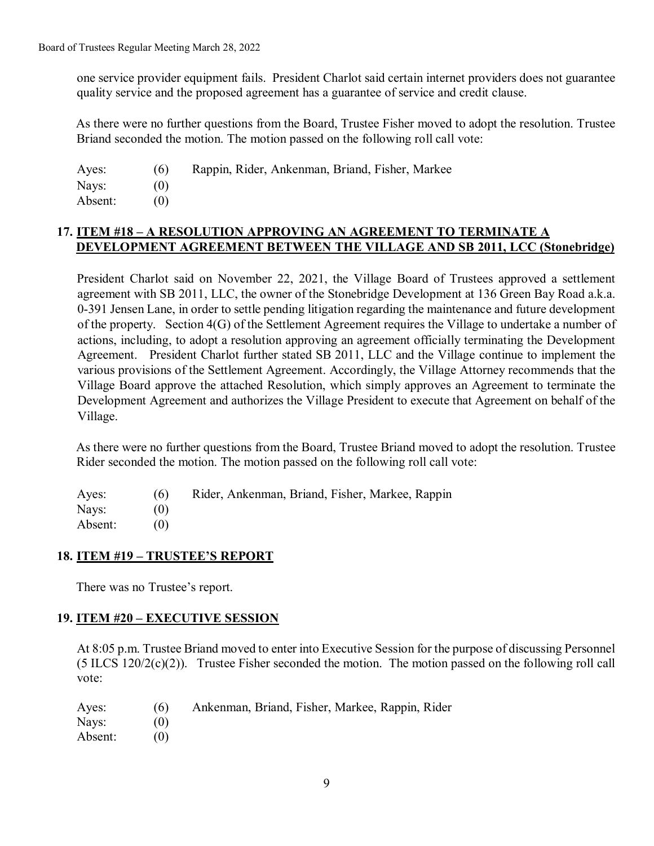one service provider equipment fails. President Charlot said certain internet providers does not guarantee quality service and the proposed agreement has a guarantee of service and credit clause.

As there were no further questions from the Board, Trustee Fisher moved to adopt the resolution. Trustee Briand seconded the motion. The motion passed on the following roll call vote:

Ayes: (6) Rappin, Rider, Ankenman, Briand, Fisher, Markee Nays: (0) Absent: (0)

## **17. ITEM #18 – A RESOLUTION APPROVING AN AGREEMENT TO TERMINATE A DEVELOPMENT AGREEMENT BETWEEN THE VILLAGE AND SB 2011, LCC (Stonebridge)**

President Charlot said on November 22, 2021, the Village Board of Trustees approved a settlement agreement with SB 2011, LLC, the owner of the Stonebridge Development at 136 Green Bay Road a.k.a. 0-391 Jensen Lane, in order to settle pending litigation regarding the maintenance and future development of the property. Section 4(G) of the Settlement Agreement requires the Village to undertake a number of actions, including, to adopt a resolution approving an agreement officially terminating the Development Agreement. President Charlot further stated SB 2011, LLC and the Village continue to implement the various provisions of the Settlement Agreement. Accordingly, the Village Attorney recommends that the Village Board approve the attached Resolution, which simply approves an Agreement to terminate the Development Agreement and authorizes the Village President to execute that Agreement on behalf of the Village.

As there were no further questions from the Board, Trustee Briand moved to adopt the resolution. Trustee Rider seconded the motion. The motion passed on the following roll call vote:

Ayes: (6) Rider, Ankenman, Briand, Fisher, Markee, Rappin Nays: (0) Absent: (0)

### **18. ITEM #19 – TRUSTEE'S REPORT**

There was no Trustee's report.

### **19. ITEM #20 – EXECUTIVE SESSION**

At 8:05 p.m. Trustee Briand moved to enter into Executive Session for the purpose of discussing Personnel (5 ILCS 120/2(c)(2)). Trustee Fisher seconded the motion. The motion passed on the following roll call vote:

| Ayes:   | (6) | Ankenman, Briand, Fisher, Markee, Rappin, Rider |
|---------|-----|-------------------------------------------------|
| Nays:   | (0) |                                                 |
| Absent: | (0) |                                                 |